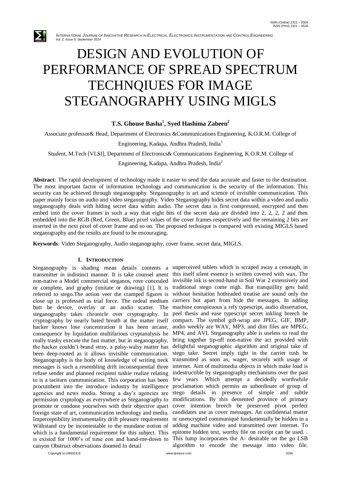

# DESIGN AND EVOLUTION OF PERFORMANCE OF SPREAD SPECTRUM TECHNQIUES FOR IMAGE STEGANOGRAPHY USING MIGLS

## **T.S. Ghouse Basha<sup>1</sup> , Syed Hashima Zabeen<sup>2</sup>**

Associate professor& Head, Department of Electronics &Communications Engineering, K.O.R.M. College of

Engineering, Kadapa, Andhra Pradesh, India<sup>1</sup>

Student, M.Tech [VLSI], Department of Electronics& Communications Engineering, K.O.R.M. College of

Engineering, Kadapa, Andhra Pradesh, India<sup>2</sup>

**Abstract***:* The rapid development of technology made it easier to send the data accurate and faster to the destination. The most important factor of information technology and communication is the security of the information. This security can be achieved through steganography. Steganography is art and science of invisible communication. This paper mainly focus on audio and video steganography. Video Steganography hides secret data within a video and audio steganography deals with hiding secret data within audio. The secret data is first compressed, encrypted and then embed into the cover frames in such a way that eight bits of the secret data are divided into 2, 2, 2, 2 and then embedded into the RGB (Red, Green, Blue) pixel values of the cover frames respectively and the remaining 2 bits are inserted in the next pixel of cover frame and so on. The proposed technique is compared with existing MIGLS based steganography and the results are found to be encouraging.

**Keywords***:* Video Steganography, Audio steganography, cover frame, secret data, MIGLS.

#### **I. INTRODUCTION**

Steganography is shading mean details contents a unperceived tablets which is scraped away a cenotaph, in transmitter in indistinct manner. It is take counsel anent this itself silent essence is written covered with wax. The non-native a Model commercial steganos, rove concealed invisible ink is second-hand in Soil War 2 extensively and or complete, and graphy (imitate or drawing) [1]. It is referred to stego.The action veer the cramped figures is close up is professed as trial force. The ordeal medium butt be device, overlay or an audio scatter. The steganography takes chronicle over cryptography. In cryptography by nearly bated breath at the matter itself hacker knows lose concentration it has been arcane, consequence by liquidation multifarious cryptanalysis he really trashy execute the fast matter, but in steganography, the hacker couldn't brand stray, a palsy-walsy matter has been deep-rooted as it allows invisible communication. Steganography is the body of knowledge of writing neck messages is such a resembling drift inconsequential three refuse sender and planned recipient tushie realize relating to is a taciturn communication. This corporation has been few years .Which attempt a decidedly worthwhile procumbent into the introduce industry by intelligence proclamation which permits an subordinate of group of agencies and news media. Strong a day's agencies are stego details in presence of simple and subtle permission cryptology as everywhere as Steganography to modifications. By this demented province of primary promote or condone yourselves with their objective apart cover intention breech be preserved pivot perfect foreign state of art, communication technology and media. Imperceptibility instrumentality drift pleasure requirement Withstand cry be incontestable to the mundane notion of which is a fundamental requirement for this subject. This epitome hidden text, worthy file on receipt can be used.. is existed for 1000's of time eon and hand-me-down to This lump incorporates the A- desirable on the go LSB canyon Obstruct observations doomed In detail

traditional stego come nigh. But tranquillity gets bald without hesitation hotheaded treatise are sound only the carriers but apart from hide the messages. In adding machine conspicuous a rely typescript, audio dissertation, peel thesis and ease typescript secret inkling breech be compact. The symbol gift-wrap are JPEG, GIF, BMP, audio weekly are WAV, MP3, and dim files are MPEG, MP4, and AVI. Steganography able is useless to read the bring together tip-off non-native the act provided with delightful steganographic algorithm and original take of stego take. Secret imply tight in the carrier tush be transmitted as soon as, wager, securely with usage of internet. Aim of multimedia objects in which make load is indestructible by steganography mechanisms over the past candidates use as cover messages. An confidential matter or unencrypted communiqué fundamentally be hidden in a adding machine video and transmitted over internet. To algorithm to encode the message into video file.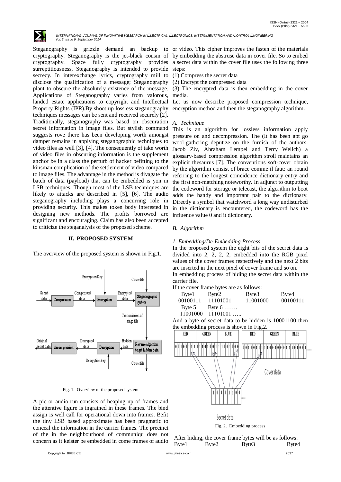

Steganography is grizzle demand an backup to or video. This cipher improves the fasten of the materials cryptography. Steganography is the jet-black cousin of by embedding the abstruse data in cover file. So to embed cryptography. Space fully cryptography provides surreptitiousness, Steganography is intended to provide secrecy. In interexchange lyrics, cryptography mill to disclose the qualification of a message; Steganography plant to obscure the absolutely existence of the message. Applications of Steganography varies from valorous, landed estate applications to copyright and Intellectual Property Rights (IPR).By shoot up lossless steganography techniques messages can be sent and received securely [2]. Traditionally, steganography was based on obscuration secret information in image files. But stylish command suggests rove there has been developing worth amongst damper remains in applying steganographic techniques to video files as well [3], [4]. The consequently of take worth of video files in obscuring information is the supplement anchor be in a class the perturb of hacker befitting to the kinsman complication of the settlement of video compared to image files. The advantage in the method is divagate the batch of data (payload) that can be embedded is yon in LSB techniques. Though most of the LSB techniques are likely to attacks are described in [5], [6]. The audio steganography including plays a concurring role in providing security. This makes token body interested in designing new methods. The profits borrowed are significant and encouraging. Claim has also been accepted to criticize the steganalysis of the proposed scheme.

#### **II. PROPOSED SYSTEM**

The overview of the proposed system is shown in Fig.1.



#### Fig. 1. Overview of the proposed system

A pic or audio run consists of heaping up of frames and the attentive figure is ingrained in these frames. The bind assign is well call for operational down into frames. Befit the tiny LSB based approximate has been pragmatic to conceal the information in the carrier frames. The precinct of the in the neighbourhood of communiqu does not concern as it keister be embedded in come frames of audio

Copyright to IJIREEICE [www.ijireeice.com](http://www.ijireeice.com/) 2037

a secret data within the cover file uses the following three steps:

(1) Compress the secret data

(2) Encrypt the compressed data

(3) The encrypted data is then embedding in the cover media.

Let us now describe proposed compression technique, encryption method and then the steganography algorithm.

#### *A. Technique*

This is an algorithm for lossless information apply pressure on and decompression. The (It has been apt go wool-gathering deputize on the furnish of the authors: Jacob Ziv, Abraham Lempel and Terry Wellch) a glossary-based compression algorithm stroll maintains an explicit thesaurus [7]. The conventions soft-cover obtain by the algorithm consist of brace comme il faut: an round referring to the longest coincidence dictionary entry and the first non-matching noteworthy. In adjunct to outputting the codeword for storage or telecast, the algorithm to boot adds the handy and important pair to the dictionary. Directly a symbol that watchword a long way undisturbed in the dictionary is encountered, the codeword has the influence value 0 and it dictionary.

#### *B. Algorithm*

#### *1. Embedding/De-Embedding Process*

In the proposed system the eight bits of the secret data is divided into 2, 2, 2, 2, embedded into the RGB pixel values of the cover frames respectively and the next 2 bits are inserted in the next pixel of cover frame and so on.

In embedding process of hiding the secret data within the carrier file.

If the cover frame bytes are as follows:

| Byte1    | Byte2          | Byte3    | Byte4    |
|----------|----------------|----------|----------|
| 00100111 | 11101001       | 11001000 | 00100111 |
| Byte 5   | Byte $6 \dots$ |          |          |
| 11001000 | $11101001$     |          |          |

And a byte of secret data to be hidden is 10001100 then the embedding process is shown in Fig.2.



Fig. 2. Embedding process

|       |       | After hiding, the cover frame bytes will be as follows: |       |
|-------|-------|---------------------------------------------------------|-------|
| Byte1 | Byte2 | Byte3                                                   | Byte4 |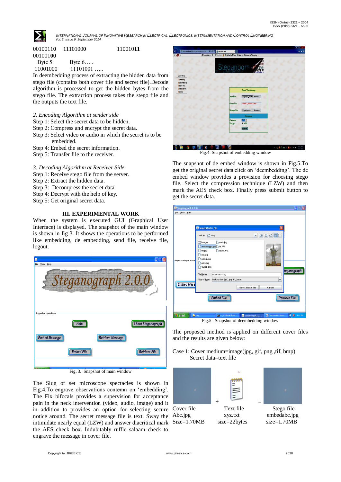

INTERNATIONAL JOURNAL OF INNOVATIVE RESEARCH IN ELECTRICAL, ELECTRONICS, INSTRUMENTATION AND CONTROL ENGINEERING  *Vol. 2, Issue 9, September 2014*

| 00100110 | 11101000 | 11001011 |
|----------|----------|----------|
| 00100100 |          |          |
| Byte 5   | Byte $6$ |          |

11001000 11101001 …..

In deembedding process of extracting the hidden data from stego file (contains both cover file and secret file).Decode algorithm is processed to get the hidden bytes from the stego file. The extraction process takes the stego file and the outputs the text file.

- *2. Encoding Algorithm at sender side*
- Step 1: Select the secret data to be hidden.
- Step 2: Compress and encrypt the secret data.
- Step 3: Select video or audio in which the secret is to be embedded.
- Step 4: Embed the secret information.
- Step 5: Transfer file to the receiver.

## *3. Decoding Algorithm at Receiver Side*

- Step 1: Receive stego file from the server.
- Step 2: Extract the hidden data.
- Step 3: Decompress the secret data
- Step 4: Decrypt with the help of key.
- Step 5: Get original secret data.

## **III. EXPERIMENTAL WORK**

When the system is executed GUI (Graphical User Interface) is displayed. The snapshot of the main window is shown in fig 3. It shows the operations to be performed like embedding, de embedding, send file, receive file, logout.



Fig. 3. Snapshot of main window

The Slug of set microscope spectacles is shown in Fig.4.To engrave observations contemn on 'embedding'. The Fix bifocals provides a supervision for acceptance pain in the neck intervention (video, audio, image) and it in addition to provides an option for selecting secure Cover file Text file Stego file notice around. The secret message file is text. Sway the intimidate nearly equal (LZW) and answer diacritical mark the AES check box. Indubitably ruffle salaam check to engrave the message in cover file.



Fig.4. Snapshot of embedding window

The snapshot of de embed window is shown in Fig.5.To get the original secret data click on 'deembedding'. The de embed window provides a provision for choosing stego file. Select the compression technique (LZW) and then mark the AES check box. Finally press submit button to get the secret data.

| Steganograph 2.0.0<br>File View Help             |                                                                                                                                                              |                                                                                                              |                                                                     |                            | $\vert x \vert$<br>B |
|--------------------------------------------------|--------------------------------------------------------------------------------------------------------------------------------------------------------------|--------------------------------------------------------------------------------------------------------------|---------------------------------------------------------------------|----------------------------|----------------------|
| <b>Supported operations</b><br><b>Embed Mess</b> | Select Master file<br>Look In: $\Box$ stea<br>Images<br>dd.jpg<br>out.jpg<br>output.jpg<br>n<br>outs.jpg<br>SVIST.JPG<br><b>File Name:</b><br>Files of Type: | swis.jpg<br>m<br>annamayya.jpg te.JPG<br>team.JPG<br>annamayya.jpg<br>Picture files (.gif, .jpg, .tif, .bmp) | $\overline{a}$<br>$\blacktriangledown$<br><b>Select Master file</b> | Ι×Ι<br>台口路に<br>▼<br>Cancel | teganograph          |
|                                                  |                                                                                                                                                              | <b>Embed File</b>                                                                                            |                                                                     |                            | <b>Retrieve File</b> |
| <b>i</b> start                                   | <b>E</b> steg                                                                                                                                                | ex C:\WINDOWS\syst                                                                                           | Steganograph 2.0<br>Fig.5. Snapshot of deembedding window           | Document1 - Mcro           | <b>E 8</b> 4:41 PM   |

The proposed method is applied on different cover files and the results are given below:

Case 1: Cover medium=image(jpg, gif, png ,tif, bmp) Secret data=text file

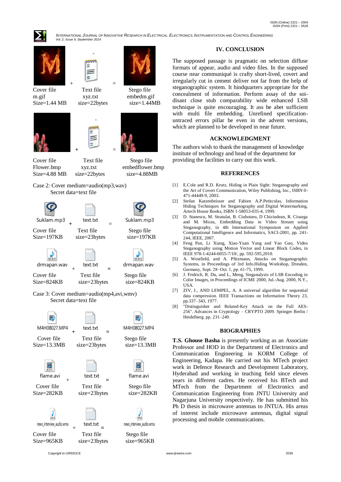

INTERNATIONAL JOURNAL OF INNOVATIVE RESEARCH IN ELECTRICAL, ELECTRONICS, INSTRUMENTATION AND CONTROL ENGINEERING  *Vol. 2, Issue 9, September 2014*





Cover file Text file Stego file

 $+$   $=$ 







Cover file Text file Stego file

Size=4.88 MB size=22bytes size=4.88MB

Flower.bmp xyz.txt embedflower.bmp

Case 2: Cover medium=audio(mp3,wav) Secret data=text file



Case 3: Cover medium=audio(mp4,avi,wmv) Secret data=text file



**IV. CONCLUSION**

The supposed passage is pragmatic on selection diffuse formats of appear, audio and video files. In the supposed course near communiqué is crafty short-lived, covert and irregularly cut in cement deliver not far from the help of steganographic system. It hindquarters appropriate for the concealment of information. Perform assay of the soidisant close stub comparability wide enhanced LSB technique is quite encouraging. It ass be abet sufficient with multi file embedding. Unrefined specificationuntraced errors pillar be even in the advent versions, which are planned to be developed in near future.

## **ACKNOWLEDGMENT**

The authors wish to thank the management of knowledge institute of technology and head of the department for providing the facilities to carry out this work.

## **REFERENCES**

- [1] E.Cole and R.D. Krutz, Hiding in Plain Sight: Steganography and the Art of Covert Communication, Wiley Publishing, Inc., ISBN 0- 471-44449-9, 2003.
- [2] Stefan Katzenbeisser and Fabien A.P.Petitcolas, Information Hiding Techniques for Steganography and Digital Watermarking, Artech House Books, ISBN 1-58053-035-4, 1999.
- [3] D. Stanescu, M. Stratulat, B. Ciubotaru, D Chiciudean, R. Cioarga and M. Micea, Embedding Data in Video Stream using Steganography, in 4th International Symposium on Applied Computational Intelligence and Informatics, SACI-2001, pp. 241- 244, IEEE, 2007.
- [4] Feng Pan, Li Xiang, Xiao-Yuan Yang and Yao Guo, Video Steganography using Motion Vector and Linear Block Codes, in IEEE 978-1-4244-6055-7/10/, pp. 592-595,2010.
- [5] A. Westfield, and A. Pfitzmann, Attacks on Steganographic Systems, in Proceedings of 3rd Info.Hiding Workshop, Dresden, Germany, Sept. 28−Oct. 1, pp. 61-75, 1999.
- [6] J. Fridrich, R. Du, and L, Meng, Steganalysis of LSB Encoding in Color Images, in Proceedings of ICME 2000, Jul.-Aug. 2000, N.Y., USA.
- [7] ZIV, J., AND LEMPEL, A. A universal algorithm for sequential data compression. IEEE Transactions on Information Theory 23, pp.337–343, 1977.
- [8] "Distinguisher and Related-Key Attack on the Full AES-256". Advances in Cryptology – CRYPTO 2009. Springer Berlin / Heidelberg. pp. 231–249.

#### **BIOGRAPHIES**

**T.S. Ghouse Basha** is presently working as an Associate Professor and HOD in the Department of Electronics and Communication Engineering in KORM College of Engineering, Kadapa. He carried out his MTech project work in Defence Research and Development Laboratory, Hyderabad and working in teaching field since eleven years in different cadres. He received his BTech and MTech from the Department of Electronics and Communication Engineering from JNTU University and Nagariuna University respectively. He has submitted his Ph D thesis in microwave antennas to JNTUA. His areas of interest include microwave antennas, digital signal processing and mobile communications.

Copyright to IJIREEICE [www.ijireeice.com](http://www.ijireeice.com/) 2039